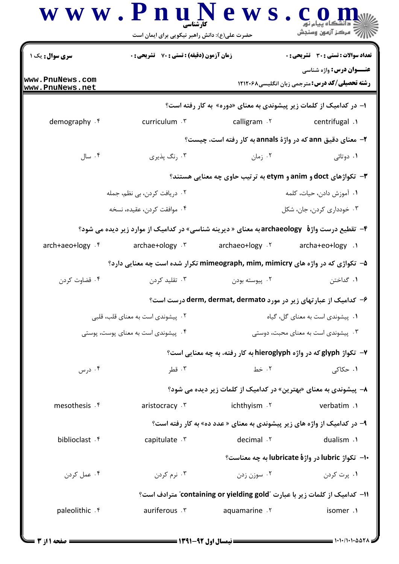| <b>سری سوال :</b> یک ۱             | زمان آزمون (دقیقه) : تستی : 70 گشریحی : 0                                                    |                                                                            | <b>تعداد سوالات : تستي : 30 ٪ تشريحي : 0</b><br><b>عنـــوان درس:</b> واژه شناسی |
|------------------------------------|----------------------------------------------------------------------------------------------|----------------------------------------------------------------------------|---------------------------------------------------------------------------------|
| www.PnuNews.com<br>www.PnuNews.net |                                                                                              |                                                                            | <b>رشته تحصیلی/کد درس:</b> مترجمی زبان انگلیسی1۲۱۲۰۶۸                           |
|                                    |                                                                                              | ا– در کدامیک از کلمات زیر پیشوندی به معنای «دوره» به کار رفته است؟         |                                                                                 |
| demography . f                     | curriculum . ٣                                                                               | calligram . ٢                                                              | 1. centrifugal                                                                  |
|                                    |                                                                                              | ۲- معنای دقیق ann که در واژهٔ annals به کار رفته است، چیست؟                |                                                                                 |
| ۰۴ سال                             | ۰۳ رنگ پذیری                                                                                 | ۰۲ زمان                                                                    | ۰۱ دوتائی                                                                       |
|                                    |                                                                                              | <b>۳</b> - تکواژهای doct و anim و etym به ترتیب حاوی چه معنایی هستند؟      |                                                                                 |
|                                    | ۰۲ دریافت کردن، بی نظم، جمله                                                                 |                                                                            | ٠١. آموزش دادن، حيات، كلمه                                                      |
|                                    | ۰۴ موافقت كردن، عقيده، نسخه                                                                  |                                                                            | ۰۳ خودداری کردن، جان، شکل                                                       |
|                                    | ۴- تقطیع درست واژهٔ archaeology به معنای « دیرینه شناسی» در کدامیک از موارد زیر دیده می شود؟ |                                                                            |                                                                                 |
| arch+aeo+logy . f                  | archae+ology . ٣                                                                             | archaeo+logy . ٢                                                           | archa+eo+logy .۱                                                                |
|                                    | ۵–  تکواژی که در واژه های mimeograph, mim, mimicry تکرار شده است چه معنایی دارد؟             |                                                                            |                                                                                 |
| ۰۴ قضاوت کردن                      | ۰۳ تقلید کردن                                                                                | ۰۲ پیوسته بودن                                                             | ٠١. گداختن                                                                      |
|                                    |                                                                                              | ۶- کدامیک از عبارتهای زیر در مورد derm, dermat, dermato درست است؟          |                                                                                 |
|                                    | ۰۲ پیشوندی است به معنای قلب، قلبی                                                            | ۰۱ پیشوندی است به معنای گل، گیاه                                           |                                                                                 |
|                                    | ۰۴ پیشوندی است به معنای پوست، پوستی                                                          |                                                                            | ۰۳ پیشوندی است به معنای محبت، دوستی                                             |
|                                    |                                                                                              | ۷- تکواژ glyph که در واژه hieroglyph به کار رفته، به چه معنایی است؟        |                                                                                 |
| ۰۴ درس                             | ۰۳ قطر                                                                                       | ۰۲ خط                                                                      | ۰۱ حکاکی                                                                        |
|                                    |                                                                                              | ۸− پیشوندی به معنای «بهترین» در کدامیک از کلمات زیر دیده می شود؟           |                                                                                 |
| mesothesis . f                     | aristocracy . ٣                                                                              | ichthyism . ٢                                                              | verbatim .1                                                                     |
|                                    |                                                                                              | ۹- در کدامیک از واژه های زیر پیشوندی به معنای « عدد ده» به کار رفته است؟   |                                                                                 |
| biblioclast f                      | capitulate . v                                                                               | decimal . ٢                                                                | dualism .1                                                                      |
|                                    |                                                                                              |                                                                            | -۱- تکواژ lubric در واژهٔ lubricate به چه معناست؟                               |
| ۰۴ عمل کردن                        | ۰۳ نرم کردن                                                                                  | ۰۲ سوزن زدن                                                                | ۰۱ پرت کردن                                                                     |
|                                    |                                                                                              | 11- كداميك از كلمات زير با عبارت "containing or yielding gold" مترادف است؟ |                                                                                 |
| paleolithic . f                    | auriferous . ٣                                                                               | aquamarine . ٢                                                             | isomer .1                                                                       |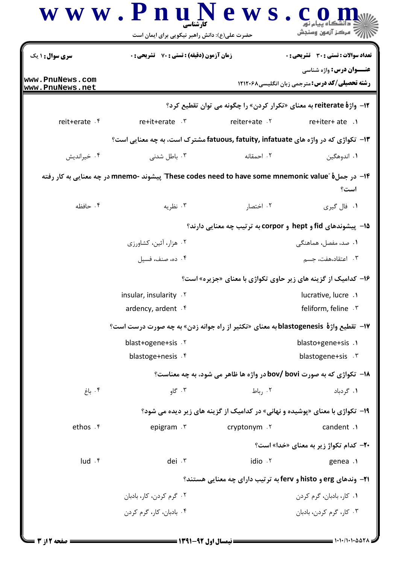| <b>سری سوال :</b> ۱ یک                              | <b>زمان آزمون (دقیقه) : تستی : 70 ٪ تشریحی : 0</b>                                                 |               | تعداد سوالات : تستى : 30 - تشريحي : 0                                                    |  |
|-----------------------------------------------------|----------------------------------------------------------------------------------------------------|---------------|------------------------------------------------------------------------------------------|--|
| www.PnuNews.com<br>www.PnuNews.net                  |                                                                                                    |               | <b>عنـــوان درس:</b> واژه شناسی<br><b>رشته تحصیلی/کد درس:</b> مترجمی زبان انگلیسی۸۲۱۲۰۶۸ |  |
|                                                     |                                                                                                    |               | <b>۱۲- واژهٔ reiterate به معنای «تکرار کردن» را چگونه می توان تقطیع کرد؟</b>             |  |
| reit+erate . f                                      | re+it+erate .r                                                                                     | reiter+ate .٢ | $re+iter+ate.$                                                                           |  |
|                                                     | ۱۳- تکواژی که در واژه های fatuous, fatuity, infatuate مشترک است، به چه معنایی است؟                 |               |                                                                                          |  |
| ۰۴ خیراندیش                                         | ۰۳ باطل شدنی                                                                                       | ۰۲ احمقانه    | ۰۱ اندوهگین                                                                              |  |
|                                                     | ۱۴– در جملهٔ "These codes need to have some mnemonic value" پیشوند -mnemo در چه معنایی به کار رفته |               | است؟                                                                                     |  |
| ۰۴ حافظه                                            | ۰۳ نظریه                                                                                           | ۰۲ اختصار     | ۰۱ فال گیری                                                                              |  |
|                                                     | <b>۱۵- پیشوندهای fid و hept و corpor به ترتیب چه معنایی دارند؟</b>                                 |               |                                                                                          |  |
|                                                     | ۰۲ هزار، آئین، کشاورزی                                                                             |               | ۰۱ صد، مفصل، هماهنگی                                                                     |  |
|                                                     | ۰۴ ده، صنف، فسیل                                                                                   |               | ۰۳ اعتقاد،هفت، جسم                                                                       |  |
|                                                     | ۱۶- کدامیک از گزینه های زیر حاوی تکواژی با معنای «جزیره» است؟                                      |               |                                                                                          |  |
|                                                     | insular, insularity . Y                                                                            |               | lucrative, lucre.                                                                        |  |
|                                                     | ardency, ardent . f                                                                                |               | feliform, feline . ٣                                                                     |  |
|                                                     | ۱۷–  تقطیع واژهٔ  blastogenesis به معنای «تکثیر از راه جوانه زدن» به چه صورت درست است؟             |               |                                                                                          |  |
|                                                     | blast+ogene+sis . ٢                                                                                |               | blasto+gene+sis .1                                                                       |  |
|                                                     | blastoge+nesis . f                                                                                 |               | blastogene+sis . ٣                                                                       |  |
|                                                     |                                                                                                    |               | <b>۱۸- تکواژی که به صورت bov/ bovi در واژه ها ظاهر می شود، به چه معناست؟</b>             |  |
| ۰۴ باغ                                              | ۰۳ گاو                                                                                             | ۰۲ , باط      | ۰۱ گردباد                                                                                |  |
|                                                     |                                                                                                    |               | ۱۹- تکواژی با معنای «پوشیده و نهانی» در کدامیک از گزینه های زیر دیده می شود؟             |  |
| ethos . ۴                                           | epigram . ٣                                                                                        | cryptonym .Y  | candent .1                                                                               |  |
|                                                     |                                                                                                    |               | <b>۲۰- کدام تکواژ زیر به معنای «خدا» است؟</b>                                            |  |
| $\mathsf{I} \mathsf{u} \mathsf{d} \cdot \mathsf{f}$ | dei . ٣                                                                                            | idio . ٢      | genea .                                                                                  |  |
|                                                     |                                                                                                    |               | <b>۲۱-</b> وندهای erg و histo و ferv به ترتیب دارای چه معنایی هستند؟                     |  |
|                                                     | ۰۲ گرم کردن، کار، بادبان                                                                           |               | ۰۱ کار، بادبان، گرم کردن                                                                 |  |
|                                                     | ۰۴ بادبان، کار، گرم کردن                                                                           |               | ۰۳ کار، گرم کردن، بادبان                                                                 |  |